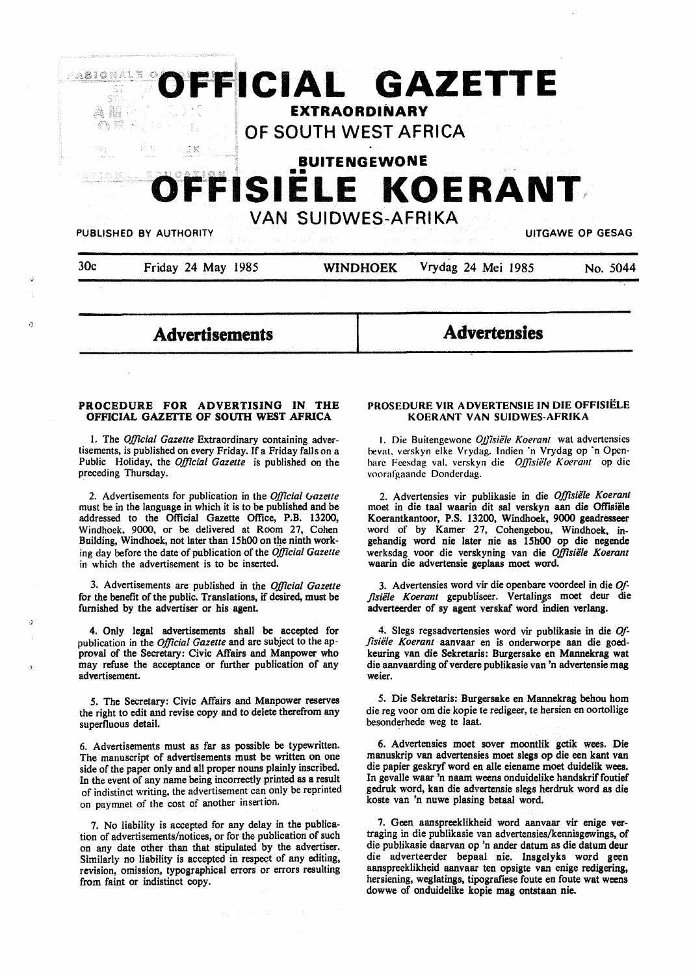

a

**Advertisements** 

**Advertensies** 

### **PROCEDURE FOR ADVERTISING IN THE OFFICIAL GAZETTE OF SOUTH WEST AFRICA**

I. The *Official Gazette* Extraordinary containing advertisements, is published on every Friday. If a Friday falls on a Public Holiday, the *Official Gazette* is published on the preceding Thursday.

2. Advertisements for publication in the *Official Ciazette*  must be in the language in which it is to be published and be addressed to the Official Gazette Office, P.B. 13200, Windhoek. 9000, or be delivered at Room 27, Cohen Building, Windhoek, not later than 15h00 on the ninth working day before the date of publication of the *Official Gazette*  in which the advertisement is to be inserted.

3. Advertisements are published in the *Official Gazette*  for the benefit of the public. Translations, if desired, must be furnished by the advertiser or his agent.

4. Only legal advertisements shall be accepted for publication in the *Official Gazette* and are subject to the approval of the Secretary: Civic Affairs and Manpower who may refuse the acceptance or further publication of any advertisement.

5. The Secretary: Civic Affairs and Manpower reserves the right to edit and revise copy and to delete therefrom any superfluous detail.

6. Advertisements must as far as possible be typewritten. The manuscript of advertisements must be written on one side of the paper only and all proper nouns plainly inscribed. In the event of any name being incorrectly printed as a result of indistinct writing, the advertisement can only be reprinted on paymnet of the cost of another insertion.

7. No liability is accepted for any delay in the publication of advertisements/notices, or for the publication of such on any date other than that stipulated by the advertiser. Similarly no liability is accepted in respect of any editing, revision, omission, typographical errors or errors resulting from faint or indistinct copy.

## **PROSEDURE VIR ADVERTENSIE IN DIE OFFISIELE KOERANT VAN SUIDWES-AFRIKA**

I. Die Buitengewone *Ojjisiele Koerant* wat advertensies hevat. verskyn elke Vrydag. lndien ·n Vrydag op ·n Openhare Feesdag val. verskyn die *OJ)isiele Koeram* op die voorafgaande Donderdag.

2. Advertensies vir publikasie in die *Offisiele Koerant*  moet in die taa1 waarin dit sal verskyn aan die Offisiele Koerantkantoor, P.S. 13200, Windhoek, 9000 geadresseer word of by Kamer 27, Cohengebou, Windhoek. ingehandig word nie later nie as 15h00 op die negende werksdag voor die verskyning van die *Offisiele Koerant*  waarin die advertensie geplaas moet word.

3. Advertensies word vir die openbare voordeel in die *Offisiele Koerant* gepubliseer. Vertalin\_Bs moet deur die adverteerder of sy agent verskaf word indien verlang.

4. Slegs regsadvertensies word vir publikasie in die *Offisiele Koerant* aanvaar en is onderworpe aan die goedkeuring van die Sekretaris: Burgersake en **Mannekrag** wat die aanvaarding of verdere publikasie van 'n advertensie mag weier.

*5.* Die Sekretaris: Burgersake en Mannekrag behou hom die reg voor om die kopie te redigeer, te hersien en oortollige besonderhede weg te laat.

6. Advertensies moet sover moontlik getik wees. Die manuskrip van advertensies moet slegs op die een kant van die papier geskryf word en alle eiename moet duidelik **wees.**  In gevalle waar 'n naam weens onduidelike handskrif foutief gedruk word, kan die advertensie slegs herdruk word as die koste van 'n nuwe plasing betaal word.

7. Geen aanspreeklikheid word aanvaar vir enige vertraging in die publikasie van advertensies/kennisgewings, of die publikasie daarvan op 'n ander datum as die datum deur die adverteerder bepaal nie. Insgelyks word geen aanspreeklikheid aanvaar ten opsigte van enige redigering, hersiening, weglatings, tipografiese foute en foute wat weens dowwe of onduidelike kopie mag ontstaan nie.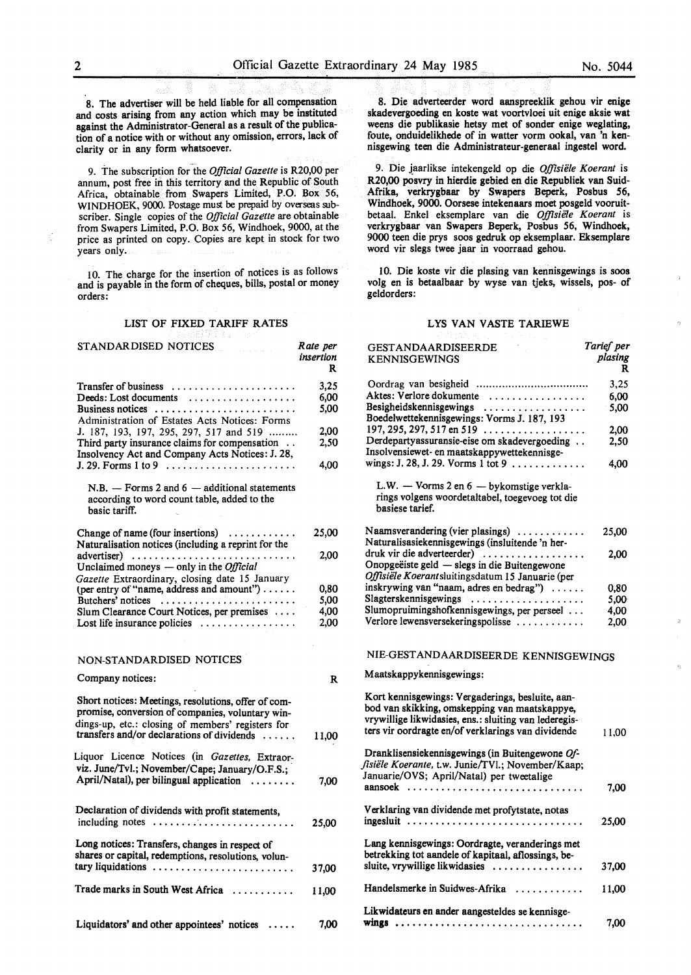8. The advertiser will be held liable for all compensation and costs arising from any action which may be instituted against the Administrator-General as a result of the publication of a notice with or without any omission, errors, lack of clarity or in any form whatsoever.

9. The subscription for the *Ojftcial Gazette* is R20,00 per annum, post free in this territory and the Republic of South Africa, obtainable from Swapers Limited, P.O. Box 56, WINDHOEK, 9000. Postage must be prepaid by overseas subscriber. Single copies of the *Official Gazette* are obtainable from Swapers Limited, P.O. Box 56, Windhoek, 9000, at the price as printed on copy. Copies are kept in stock for two years only.

10. The charge for the insertion of notices is as follows and is payable in the form of cheques, bills, postal or money orders:

#### LIST OF FIXED TARIFF RATES

| STANDARDISED NOTICES                                                                                                                                                                                       | Rate per<br>insertion<br>R |
|------------------------------------------------------------------------------------------------------------------------------------------------------------------------------------------------------------|----------------------------|
| Transfer of business                                                                                                                                                                                       | 3.25                       |
| Deeds: Lost documents                                                                                                                                                                                      | 6,00                       |
| Business notices<br>Administration of Estates Acts Notices: Forms                                                                                                                                          | 5,00                       |
| J. 187, 193, 197, 295, 297, 517 and 519                                                                                                                                                                    | 2,00                       |
| Third party insurance claims for compensation<br>Insolvency Act and Company Acts Notices: J. 28,                                                                                                           | 2,50                       |
|                                                                                                                                                                                                            | 4.00                       |
| $N.B.$ — Forms 2 and 6 — additional statements<br>according to word count table, added to the<br>basic tariff.                                                                                             |                            |
| Change of name (four insertions) $\dots\dots\dots$                                                                                                                                                         | 25,00                      |
| Naturalisation notices (including a reprint for the                                                                                                                                                        | 2,00                       |
| advertiser)<br>Unclaimed moneys $-$ only in the <i>Official</i>                                                                                                                                            |                            |
| Gazette Extraordinary, closing date 15 January<br>(per entry of "name, address and amount")                                                                                                                | 0,80                       |
| Butchers' notices                                                                                                                                                                                          | 5,00                       |
| Slum Clearance Court Notices, per premises                                                                                                                                                                 | 4,00                       |
| Lost life insurance policies $\dots \dots \dots \dots \dots$                                                                                                                                               | 2,00                       |
| NON-STANDARDISED NOTICES                                                                                                                                                                                   |                            |
| Company notices:                                                                                                                                                                                           | R                          |
| Short notices: Meetings, resolutions, offer of com-<br>promise, conversion of companies, voluntary win-<br>dings-up, etc.: closing of members' registers for<br>transfers and/or declarations of dividends | 11,00                      |
| Liquor Licence Notices (in Gazettes, Extraor-                                                                                                                                                              |                            |
| viz. June/Tvl.; November/Cape; January/O.F.S.;                                                                                                                                                             |                            |
| April/Natal), per bilingual application<br>.                                                                                                                                                               | 7,00                       |
| Declaration of dividends with profit statements,<br>including notes                                                                                                                                        | 25,00                      |
| Long notices: Transfers, changes in respect of<br>shares or capital, redemptions, resolutions, volun-                                                                                                      |                            |
| tary liquidations                                                                                                                                                                                          | 37,00                      |
| Trade marks in South West Africa                                                                                                                                                                           | 11,00                      |
| Liquidators' and other appointees' notices                                                                                                                                                                 | 7.00                       |

8. Die adverteerder word aanspreeklik gehou vir **enige**  skadevergoeding en koste wat voortvloei uit enige aksie wat weens die publikasie hetsy met of sonder enige weglating, foute, onduidelikhede of in watter vorm ookal, van 'n kennisgewing teen die Administrateur-generaal ingestel word.

9. Die jaarlikse intekengeld op die *Offisiële Koerant* is R20,00 posvry in hierdie gebied en die Republiek van Suid-Afrika, verkrygbaar by Swapers Beperk, Posbus 56, Windhoek, 9000. Oorsese intekenaars moet posgeld vooruitbetaal. Enke! eksemplare van die *Ojftsie1e Koerant* is verkrygbaar van Swapers Beperk, Posbus 56, Windhoek, 9000 teen die prys soos gedruk op eksemplaar. Eksemplare word vir slegs twee jaar in voorraad gehou.

10. Die koste vir die plasing van kennisgewings is soos volg en is betaalbaar by wyse van tjeks, wissels, pos- of geldorders:

#### LYS VAN VASTE TARIEWE

| <b>GESTANDAARDISEERDE</b><br><b>KENNISGEWINGS</b>                                                                                                                                                                | Tarief per<br>plasing<br>R |
|------------------------------------------------------------------------------------------------------------------------------------------------------------------------------------------------------------------|----------------------------|
|                                                                                                                                                                                                                  | 3,25                       |
| Aktes: Verlore dokumente                                                                                                                                                                                         | 6,00                       |
| Besigheidskennisgewings                                                                                                                                                                                          | 5.00                       |
| Boedelwettekennisgewings: Vorms J. 187, 193                                                                                                                                                                      |                            |
| 197, 295, 297, 517 en 519 $\dots$                                                                                                                                                                                | 2,00                       |
| Derdepartyassuransie-eise om skadevergoeding<br>Insolvensiewet- en maatskappywettekennisge-<br>wings: J. 28, J. 29. Vorms 1 tot 9                                                                                | 2,50                       |
|                                                                                                                                                                                                                  | 4,00                       |
| L.W. - Vorms 2 en 6 - bykomstige verkla-<br>rings volgens woordetaltabel, toegevoeg tot die<br>basiese tarief.                                                                                                   |                            |
| Naamsverandering (vier plasings)<br>Naturalisasiekennisgewings (insluitende 'n her-                                                                                                                              | 25,00                      |
| druk vir die adverteerder)                                                                                                                                                                                       | 2,00                       |
| Onopgeëiste geld - slegs in die Buitengewone<br>Offisiële Koerantsluitingsdatum 15 Januarie (per                                                                                                                 |                            |
| inskrywing van "naam, adres en bedrag")                                                                                                                                                                          | 0.80                       |
| Slagterskennisgewings                                                                                                                                                                                            | 5,00                       |
| Slumopruimingshofkennisgewings, per perseel                                                                                                                                                                      | 4,00                       |
| Verlore lewensversekeringspolisse                                                                                                                                                                                | 2,00                       |
| NIE-GESTANDAARDISEERDE KENNISGEWINGS                                                                                                                                                                             |                            |
| Maatskappykennisgewings:                                                                                                                                                                                         |                            |
| Kort kennisgewings: Vergaderings, besluite, aan-<br>bod van skikking, omskepping van maatskappye,<br>vrywillige likwidasies, ens.: sluiting van lederegis-<br>ters vir oordragte en/of verklarings van dividende | 11,00                      |
| Dranklisensiekennisgewings (in Buitengewone Of-<br>fisiële Koerante, t.w. Junie/TVI.; November/Kaap;<br>Januarie/OVS; April/Natal) per tweetalige                                                                |                            |
|                                                                                                                                                                                                                  | 7,00                       |
| Verklaring van dividende met profytstate, notas<br>ingesluit                                                                                                                                                     | 25,00                      |
| Lang kennisgewings: Oordragte, veranderings met<br>betrekking tot aandele of kapitaal, aflossings, be-<br>sluite, vrywillige likwidasies                                                                         | 37,00                      |
| Handelsmerke in Suidwes-Afrika                                                                                                                                                                                   | 11.00                      |
|                                                                                                                                                                                                                  |                            |
| Likwidateurs en ander aangesteldes se kennisge-<br>wings                                                                                                                                                         | 7,00                       |

K.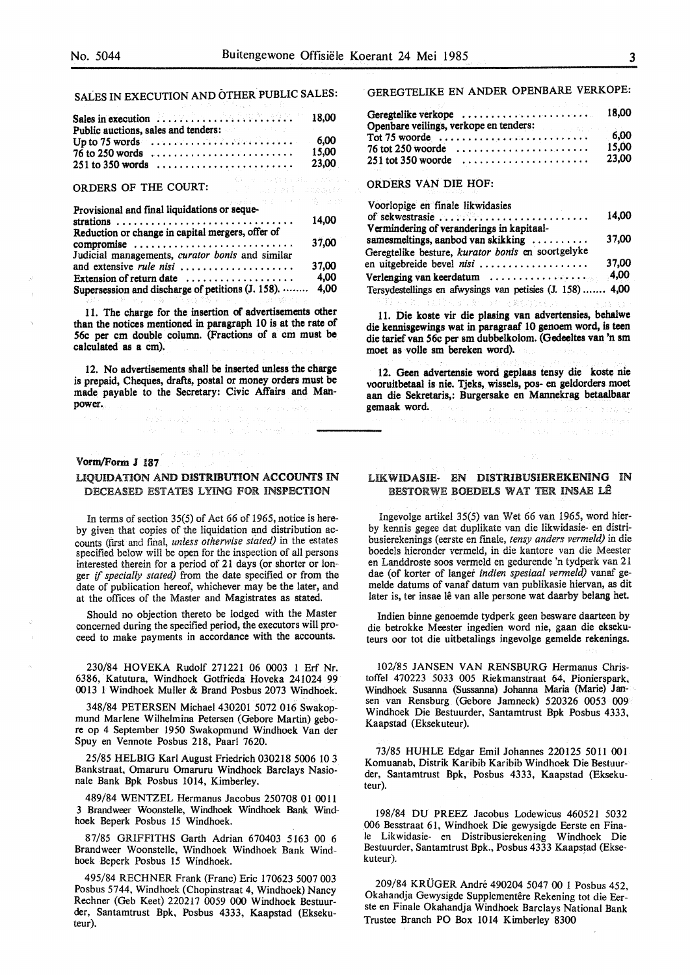# SALES IN EXECUTION AND OTHER PUBLIC SALES:

| Sales in execution $\ldots \ldots \ldots \ldots \ldots \ldots \ldots \ldots$ 18.00 |  |  |  |  |  |  |  |  |  |  |  |                      |
|------------------------------------------------------------------------------------|--|--|--|--|--|--|--|--|--|--|--|----------------------|
| Public auctions, sales and tenders:                                                |  |  |  |  |  |  |  |  |  |  |  |                      |
| Up to 75 words $\ldots \ldots \ldots \ldots \ldots \ldots \ldots \ldots$ 6,00      |  |  |  |  |  |  |  |  |  |  |  |                      |
|                                                                                    |  |  |  |  |  |  |  |  |  |  |  | 15.00                |
|                                                                                    |  |  |  |  |  |  |  |  |  |  |  | 23.00                |
|                                                                                    |  |  |  |  |  |  |  |  |  |  |  | 一度も、そしいの物です。 はししたたちの |

# ORDERS OF THE COURT:

| 승규는 일 경제에 대한 사람들이 나서 사람들이 나서 사람들이 나서 사람들이 있었다.            |       |
|-----------------------------------------------------------|-------|
| Provisional and final liquidations or seque-              |       |
|                                                           | 14,00 |
| Reduction or change in capital mergers, offer of          |       |
| compromise                                                | 37,00 |
| Judicial managements, curator bonis and similar           |       |
| and extensive <i>rule nisi</i>                            | 37,00 |
| Extension of return date $\dots\dots\dots\dots\dots\dots$ | 4,00  |
| Supersession and discharge of petitions (J. 158).         | 4,00  |
| "魏国公司"的第三人称单数"魏国"的一个人,以中被改变。                              |       |
|                                                           |       |

11. The charge for the insertion of advertisements other than the notices mentioned in paragraph 10 is at the rate of 56c per cm double column. (Fractions of a cm must be calculated as a cm).

12. No advertisements shall be inserted unless the charge is prepaid, Cheques, drafts, postal or money orders must be made payable to the Secretary: Civic Affairs and Manpower. .<br>Patrimoni e questo este:

#### Vorm/Form J 187

## LIQUIDATION AND DISTRIBUTION ACCOUNTS IN DECEASED ESTATES LYING FOR INSPECTION

In terms of section 35(5) of Act 66 of 1965, notice is hereby given that copies of the liquidation and distribution accounts (first and final, *unless othenvise stated)* in the estates specified below will be open for the inspection of all persons interested therein for a period of 21 days (or shorter or longer if *specially stated)* from the date specified or from the date of publication hereof, whichever may be the later, and at the offices of the Master and Magistrates as stated.

Should no objection thereto be lodged with the Master concerned during the specified period, the executors will proceed to make payments in accordance with the accounts.

230/84 HOVEKA Rudolf 271221 06 0003 1 Erf Nr. 6386, Katutura, Windhoek Gotfrieda Hoveka 241024 99 0013 1 Windhoek Muller & Brand Posbus 2073 Windhoek.

348/84 PETERSEN Michael 430201 5072 016 Swakopmund Marlene Wilhelmina Petersen (Gebore Martin) gebore op 4 September 1950 Swakopmund Windhoek Van der Spuy en Vennote Posbus 218, Paarl 7620.

25/85 HELBIG Karl August Friedrich 030218 5006 10 3 Bankstraat, Omaruru Omaruru Windhoek Barclays Nasionale Bank Bpk Posbus 1014, Kimberley.

489/84 WENTZEL Hermanus Jacobus 250708 01 0011 3 Brandweer Woonstelle, Windhoek Windhoek Bank Windhoek Beperk Posbus 15 Windhoek.

87/85 GRIFFITHS Garth Adrian 670403 5163 00 6 Brandweer Woonstelle, Windhoek Windhoek Bank Windhoek Beperk Posbus 15 Windhoek.

495/84 RECHNER Frank (Franc) Eric 170623 5007 003 Posbus 5744, Windhoek (Chopinstraat 4, Windhoek) Nancy Rechner (Geb Keet) 220217 0059 000 Windhoek Bestuurder, Santamtrust Bpk, Posbus 4333, Kaapstad (Eksekuteur).

## GEREGTELIKE EN ANDER OPENBARE VERKOPE:

| Geregtelike verkope                                                                    | 18.00 |
|----------------------------------------------------------------------------------------|-------|
| Openbare veilings, verkope en tenders:<br>6,00                                         |       |
| $\text{Tot } 75 \text{ woorde } \dots \dots \dots \dots \dots \dots \dots \dots \dots$ |       |
| $76$ tot 250 woorde $\ldots \ldots \ldots \ldots \ldots \ldots$                        | 15.00 |
| $251$ tot 350 woorde                                                                   | 23.00 |

# ORDERS VAN DIE HOF:

| Voorlopige en finale likwidasies                         |       |
|----------------------------------------------------------|-------|
|                                                          | 14.00 |
| Vermindering of veranderings in kapitaal-                |       |
| samesmeltings, aanbod van skikking                       | 37,00 |
| Geregtelike besture, kurator bonis en soortgelyke        |       |
| en uitgebreide bevel nisi                                | 37.00 |
|                                                          |       |
| Tersydestellings en afwysings van petisies (J. 158) 4,00 |       |

11. Die koste vir die plasing van advertensies, behalwe die kennisgewings wat in paragraaf 10 genoem word, is teen die tarief van 56c per sm dubbelkolom. (Gedeeltes van 'n sm moet as volle sm bereken word).

(株式会社法人義人) アセマ 薬も合成する

12. Geen advertensie word geplaas tensy die koste nie vooruitbetaal is nie. Tjeks, wissels, pos- en geldorders moet aan die Sekretaris,: Burgersake en Mannekrag betaalbaar gemaak word. n e alle dolc'ho vezel de

# LIKWIDASIE- EN DISTRIBUSIEREKENING IN BESTORWE BOEDELS WAT TER INSAE LÊ

Ingevolge artikel 35(5) van Wet 66 van 1965, word hierby kennis gegee dat duplikate van die likwidasie- en distribusierekenings (eerste en finale, *tensy anders vermeld)* in die boedels hieronder vermeld, in die kantore van die Meester en Landdroste soos vermeld en gedurende 'n tydperk van 21 dae (of korter of Janger *indien spesiaal vermeld)* vanaf gemelde datums of vanaf datum van publikasie hiervan, as dit later is, ter insae lê van alle persone wat daarby belang het.

Indien binne genoemde tydperk geen besware daarteen by die betrokke Meester ingedien word nie, gaan die eksekuteurs oor tot die uitbetalings ingevolge gemelde rekenings.

102/85 JANSEN VAN RENSBURG Hermanus Christoffel 470223 5033 005 Riekmanstraat 64, Pionierspark, Windhoek Susanna (Sussanna) Johanna Maria (Marie) Jansen van Rensburg (Gebore Jamneck) 520326 0053 009 Windhoek Die Bestuurder, Santamtrust Bpk Posbus 4333, Kaapstad (Eksekuteur).

73/85 HUHLE Edgar Emil Johannes 220125 5011 001 Komuanab, Distrik Karibib Karibib Windhoek Die Bestuurder, Santamtrust Bpk, Posbus 4333, Kaapstad (Eksekuteur).

198/84 DU PREEZ Jacobus Lodewicus 460521 5032 006 Besstraat 61, Windhoek Die gewysigde Eerste en Finale Likwidasie- en Distribusierekening Windhoek Die Bestuurder, Santamtrust Bpk., Posbus 4333 Kaapstad (Eksekuteur).

209/84 KRUGER Andre 490204 5047 00 1 Posbus 452, Okahandja Gewysigde Supplementêre Rekening tot die Eerste en Finale Okahandja Windhoek Barclays National Bank Trustee Branch PO Box 1014 Kimberley 8300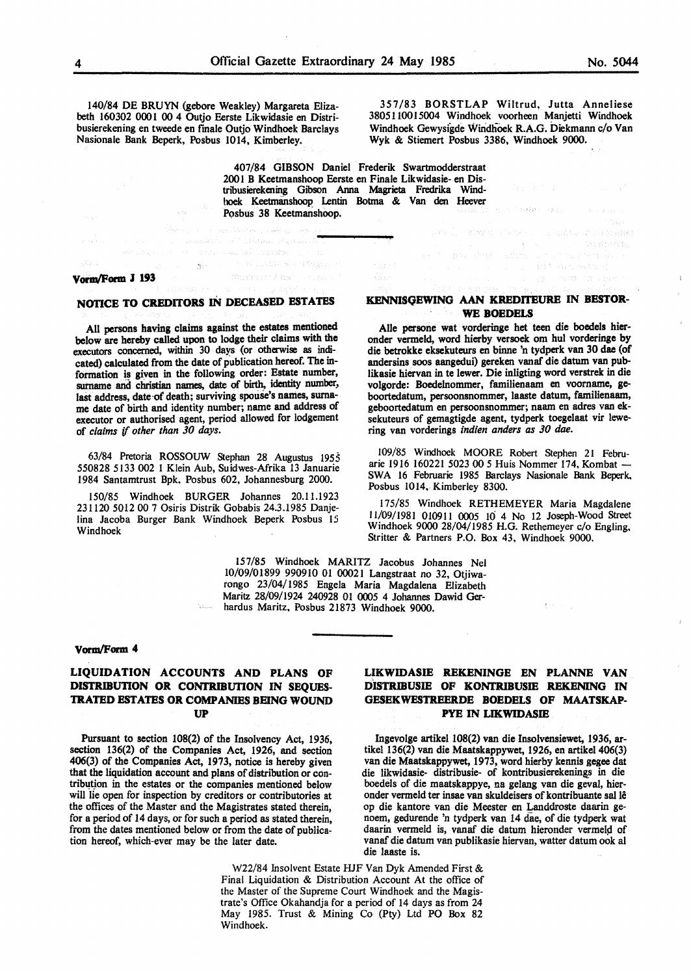140/84 DE BRUYN (gebore Weakley) Margareta Elizabeth 160302 0001 00 4 Outjo Eerste Likwidasie en Distribusierekening en tweede en finale Outjo Windhoek Barclays Nasionale Bank Beperk, Posbus 1014, Kimberley.

357/83 BORSTLAP Wiltrud, Jutta Anneliese 3805110015004 Windhoek voorheen Manjetti Windhoek Windhoek Gewysigde Windhoek R.A.G. Diekmann c/o Van Wyk & Stiemert Posbus 3386, Windhoek 9000.

.<br>Vəfatlar

a chiana un accordo

 $\{\varphi\}_{\varphi}^{\mathcal{A}}=\{\xi_{\varphi}\}_{\varphi}^{\mathcal{A}}$  and the  $\varphi$ 

407/84 GIBSON Daniel Frederik Swartmodderstraat 200 I B Keetmanshoop Eerste en Finale Likwidasie- en Distribusierekening Gibson Anna Magrieta Fredrika Windhoek Keetmanshoop I.entin Botma & Van den Heever Posbus 38 Keetmanshoop.

# **vorm/Fonn J 193**

## **NOflCE TO CREDITORS** IN **DECEASED ESTATES**

All persons having claims against the estates mentioned below are hereby called upon to lodge their claims with the executors concerned, within 30 days (or otherwise as indicated) calculated from the date of publication hereof. The information is **given** in the following order: Estate number, surname and christian names, date of birth, identity number, last address, date-of-death; surviving spouse's names, surname date of birth and identity number; name and address of executor or authorised agent, period allowed for lodgement of *claims* if *other than 30 days.* 

63/84 Pretoria ROSSOUW Stephan 28 Augustus 1955 550828 5133 002 1 Klein Aub, Suidwes-Afrika 13 Januarie 1984 Santamtrust Bpk, Posbus 602, Johannesburg 2000.

150/85 Windhoek BURGER Johannes 20.l l.1923 231120 5012 00 7 Osiris Distrik Gobabis 24.3.1985 Danjelina Jacoba Burger Bank Windhoek Beperk Posbus 15 Windhoek

### **KENNISQEWING AAN KREDITEURE** IN **BESTOR-WE BOEDELS**

Alie persone wat vorderinge bet teen die boedels hieronder vermeld, word hierby versoek om hul vorderinge by die betrokke eksekuteurs en binne 'n tydperk van 30 dae (of andersins soos aangedui) gereken vanaf die datum van publikasie hiervan in te lewer. Die inligting word verstrek in die volgorde: Boedelnommer, familienaam en voorname, geboortedatum, persoonsnommer, laaste datum, familienaam, geboortedatum en persoonsnommer; naam en adres van eksekuteurs of gemagtigde agent, tydperk toegelaat vir lewering van vorderings *indien anders as 30 dae.* 

109/85 Windhoek MOORE Robert Stephen 21 Februarie 1916 160221 5023 00 5 Huis Nommer 174, Kombat -SWA 16 Februarie 1985 Barclays Nasionale Bank Beperk, Posbus 1014, Kimberley 8300.

175/85 Windhoek RETHEMEYER Maria Magdalene 11/09/1981 010911 0005 10 4 No 12 Joseph-Wood Street Windhoek 9000 28/04/1985 H.G. Rethemeyer c/o Engling, Stritter & Partners P.O. Box 43, Windhoek 9000.

157/85 Windhoek MARITZ Jacobus Johannes Nel 10/09/01899 990910 01 00021 Langstraat no 32, Otjiwarongo 23/04/1985 Engela Maria Magdalena Elizabeth Maritz 28/09/1924 240928 01 0005 4 Johannes Dawid Gerhardus Maritz, Posbus 21873 Windhoek 9000.

#### **Vonn/Fomt 4**

## **LIQUIDATION ACCOUNTS AND PLANS OF DISTRIBUTION OR CONTRIBUTION** IN **SEQUES-TRATED ESTATES OR COMPANIES BEING WOUND UP**

Pursuant to section 108(2) of the Insolvency Act, 1936, section 136(2) of the Companies Act, 1926, and section 406(3) of the Companies Act, 1973, notice is hereby given that the liquidation account and plans of distribution or contribution in the estates or the companies mentioned below will lie open for inspection by creditors or contributories at the offices of the Master and the Magistrates stated therein, for a period of 14 days, or for such a period as stated therein, from the dates mentioned below or from the date of publication hereof, which-ever may be the later date.

# **LIKWIDASIE REKENINGE EN PLANNE VAN DISTRIBUSJE OF KONTRIBUSJE REKENING** IN **GESEKWESTREERDE BOEDELS OF MAATSKAP-PYE IN LIKWIDASJE**

Ingevolge artikel 108(2) van die Insolvensiewet, 1936, artikel 136(2) van die Maatskappywet, 1926, en artikel 406(3) van die Maatskappywet, 1973, word hierby kennis gegee dat die likwidasie- distribusie- of kontribusierekening\_s in die boedels of die maatskappye, na gelang van die geval, hieronder vermeld ter insae van skuldeisers of kontribuante sal lê op die kantore van die Meester en Landdroste daarin genoem, gedurende 'n tydperk van 14 dae, of die tydperk wat daarin vermeld is, vanaf die datum hieronder vermeld of vanaf die datum van publikasie hiervan, watter datum ook al die laaste is.

W22/84 Insolvent Estate HJF Van Dyk Amended First & Final Liquidation & Distribution Account At the office of the Master of the Supreme Court Windhoek and the Magistrate's Office Okahandja for a period of 14 days as from 24 May 1985. Trust & Mining Co (Pty) Ltd PO Box 82 Windhoek.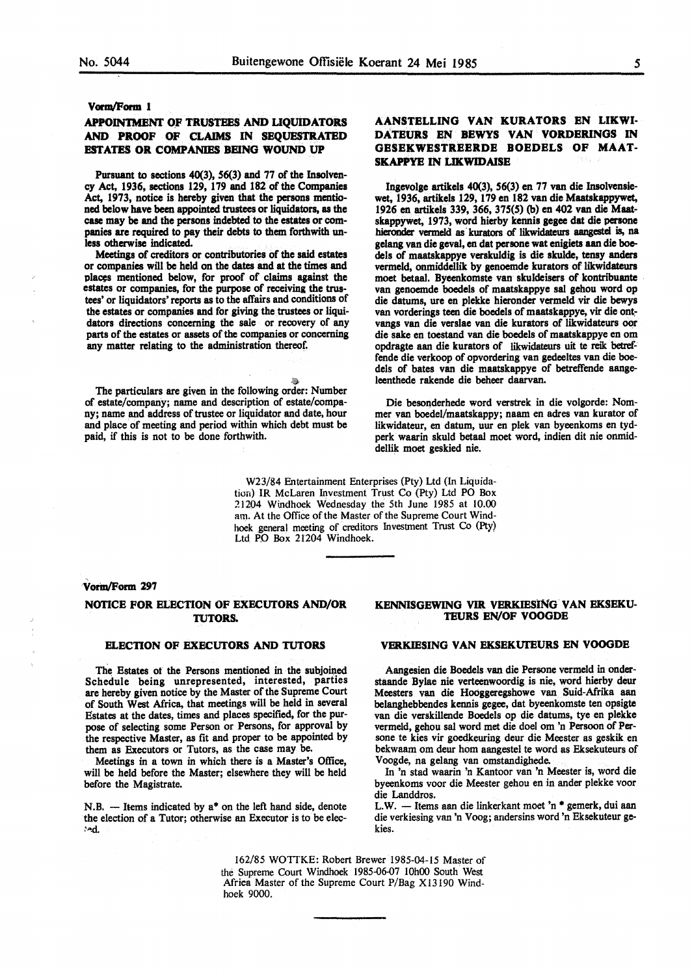#### Vorm/Form 1

# **APPOIN1MENI' ()F TRUSTEES AND LIQUIDATORS AND PROOF OF CLAIMS** IN **SEQUESTRATED ESTATES OR COMPANIES BEING WOUND UP**

Pursuant to sections 40(3), 56(3) and 77 of the Insolvency Act, 1936, sections 129, 179 and 182 of the Companiea Act, 1973, notice is hereby given that the persons mentioned below have been appointed trustees or liquidators, as the case may be and the persons indebted to the estates or companies are required to pay their debts to them forthwith unless otherwise indicated.

Meetings of creditors or contributories of the said estates or companies will be held on the dates and at the times and places mentioned below, for proof of claims against the estates or companies, for the purpose of receiving the trustees' or liquidators' reports as to the affairs and conditions of the estates or companies and for giving the trustees or liquidators directions concerning the sale or recovery of any parts of the estates or assets of the companies or concerning any matter relating to the administration thereof.

The particulars are given in the following order: Number of estate/company; name and description of estate/company; name and address of trustee or liquidator and date, hour and place of meeting and period within which debt must be paid, if this is not to be done forthwith.

# **AANSTELLING VAN KURATORS EN LIKWI-DATEURS EN BEWYS VAN VORDERINGS** IN **GESEKWESTREERDE BOEDELS OF MAAT-SKAPPYE IN LIKWIDAISE**

Ingevolge artikels 40(3), 56(3) en 77 van die Insolvensiewet, 1936, artikels 129, 179 en 182 van die Maatskappywet, 1926 en artikels 339, 366, 375(5) (b) en 402 van die Maatskappywet, 1973, word hierby kennis **gegee** dat die persone hieronder vermeld as kurators of likwidateurs aangestel is, na **gelang van die geval, en dat persone wat enigiets aan die boe**dels of maatskappye verskuldig is die skulde, tensy anders vermeld, onmiddellik by genoemde kurators of likwidateurs moet betaal. Byeenkomste van skuldeisers of kontribuante van genoemde boedels of maatskappye sal gehou word op die datums, ure en plekke hieronder vermeld vir die bewys van vorderings teen die boedels of maatskappye, vir die ont~ vangs van die verslae van die kurators of likwidateurs oor die sake en toestand van die boedels of maatskappye en om opdragte aan die kurators of likwidateurs uit te reik betreffende die verkoop of opvordering van gedeeltes van die boedels of bates van die maatskappye of betreffende **aange**leenthede rakende die beheer daarvan.

Die besonderhede word verstrek in die volgorde: Nommer van boedel/maatskappy; naam en adres van kurator of likwidateur, en datum, uur en plek van byeenkoms en tydperk waarin skuld betaal moet word, indien dit nie onmiddellik moet **geskied** nie.

W23/84 Entertainment Enterprises (Pty) Ltd (In Liquidation) IR McLaren Investment Trust Co (Pty) Ltd PO Box 21204 Windhoek Wednesday the 5th June 1985 at 10.00 am. At the Office of the Master of the Supreme Court Windhoek general meeting of creditors Investment Trust Co (Pty) Ltd PO Box 21204 Windhoek.

#### Vorm/Form 297

## **NOTICE FOR ELECTION OF EXECUTORS AND/OR TUTORS.**

#### **ELECTION OF EXECUTORS AND TUTORS**

The Estates of the Persons mentioned in the subjoined Schedule being unrepresented, interested, parties are hereby given notice by the Master of the Supreme Court of South West Africa, that meetings will be held in several Estates at the dates, times and places specified, for the purpose of selecting some Person or Persons, for approval by the respective Master, as fit and proper to be appointed by them as Executors or Tutors, as the case may be.

Meetings in a town in which there is a Master's Office, will be held before the Master; elsewhere they will be held before the Magistrate.

 $N.B.$  - Items indicated by  $a^*$  on the left hand side, denote the election of a Tutor; otherwise an Executor is to be elec- ~".d.

#### **KENNISGEWING VIR VERKIESlNG. VAN EKSEK.U-TEURS EN/OF VOOGDE**

## **VERKIESING VAN EKSEKUTEURS EN VOOGDE**

Aangesien die Boedels van die Persone vermeld in onderstaande Bylae nie verteenwoordig is nie, word hierby deur Meesters van die Hooggeregshowe van Suid-Afrika aan belanghebbendes kennis gegee, dat byeenkomste ten opsigte van die verskillende Boedels op die datums, tye en plekke vermeld, gehou sal word met die doe! om 'n Persoon of Persone te kies vir goedkeuring deur die Meester as geskik en bekwaam om deur hom aangestel te word as Eksekuteurs of Voogde, na gelang van omstandighede.

In 'n stad waarin 'n Kantoor van 'n Meester is, word die byeenkoms voor die Meester gehou en in ander plekke voor die Landdros.

L.W. - Items aan die linkerkant moet 'n \* gemerk, dui aan die verkiesing van 'n Voog; andersins word 'n Eksekuteur gekies.

162/85 WOTIKE: Robert Brewer 1985-04-15 Master of the Supreme Court Windhoek 1985-06-07 10h00 South West Africa Master of the Supreme Court P/Bag X13190 Windhoek 9000.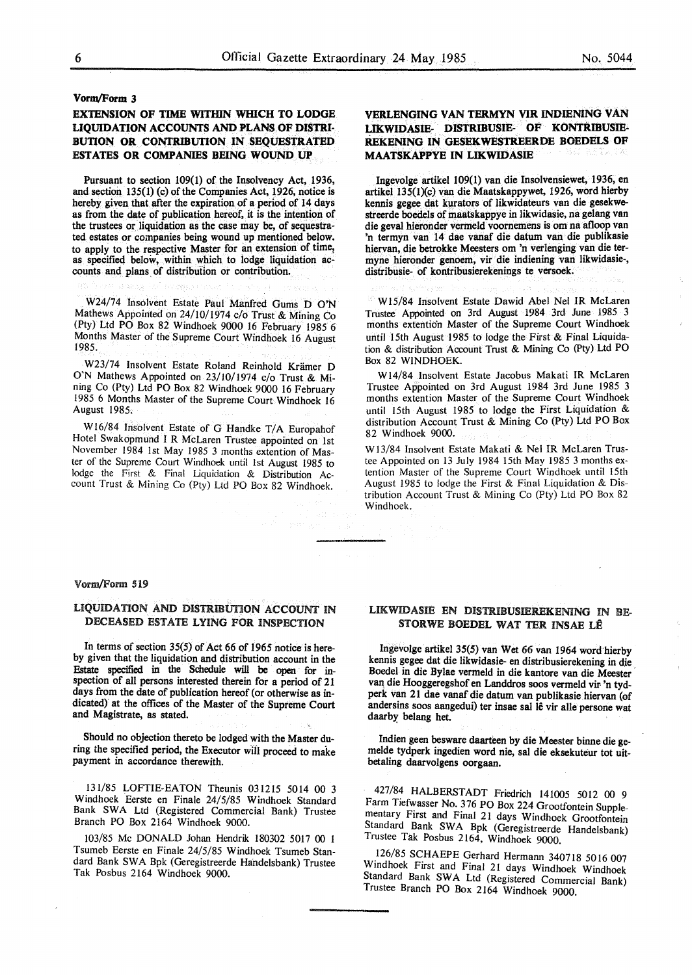# **Vorm/Form 3**

# **EXTENSION OF TIME WITHIN WHICH TO LODGE LIQUIDATION ACCOUNTS AND PLANS OF DISTRI-BUTION OR CONTRIBUTION IN SEQUESTRATED ESTATES OR COMPANIES BEING WOUND UP**

Pursuant to section 109(1) of the Insolvency Act, 1936, and section 135(1) (c) of the Companies Act, 1926, notice is hereby given that after the expiration of a period of 14 days as from the date of publication hereof, it is the intention of the trustees or liquidation as the case may be, of sequestrated estates or companies being wound up mentioned below. to apply to the respective Master for an extension of time, as specified below, within which to lodge liquidation accounts and plans of distribution or contribution.

W24/74 Insolvent Estate Paul Manfred Gums D O'N Mathews Appointed on 24/10/1974 c/o Trust & Mining Co (Pty) Ltd PO Box 82 Windhoek 9000 16 February 1985 6 Months Master of the Supreme Court Windhoek 16 August 1985.

W23/74 Insolvent Estate Roland Reinhold Krämer D O'N Mathews Appointed on 23/10/1974 c/o Trust & Mining Co (Pty) Ltd PO Box 82 Windhoek 9000 16 February 1985 6 Months Master of the Supreme Court Windhoek 16 August 1985.

Wl6/84 Insolvent Estate of G Handke T/A Europahof Hotel Swakopmund IR McLaren Trustee appointed on 1st November 1984 1st May 1985 3 months extention of Master of the Supreme Court Windhoek until 1st August 1985 to lodge the First & Final Liquidation & Distribution Account Trust & Mining Co (Pty) Ltd PO Box 82 Windhoek.

# **VERLENGING VAN TERMYN VIR INDIBNING VAN LJKWIDASIB- DISTRIBUSIE- OF KONTRIBUSIB-REKENING IN GESEKWESTREERDE BOEDELS OF MAATSKAPPYE IN LIKWIDASIB**

Ingevolge artikel 109(1) van die Insolvensiewet, 1936, en artikel 135(1)(c) van die Maatskappywet, 1926, word hierby kennis gegee dat kurators of likwidateurs van die gesekwestreerde boedels of maatskappye in Iikwidasie, na gelang van die geval hieronder vermeld voomemens is om na afloop van 'n termyn van 14 dae vanaf die datum van die publikasie hiervan, die betrokke Meesters om 'n verlenging van die termyne hieronder genoem, vir die indiening van likwidasie-, distribusie- of kontribusierekenings te versoek.

WIS/84 Insolvent Estate Dawid Abel Ne! IR McLaren Trustee Appointed on 3rd August 1984 3rd June 1985 3 months extention Master of the Supreme Court Windhoek until 15th August 1985 to lodge the First & Final Liquidation & distribution Account Trust & Mining Co (Pty) Ltd PO Box 82 WINDHOEK.

WI 4/84 Insolvent Estate Jacobus Makati IR McLaren Trustee Appointed on 3rd August 1984 3rd June 1985 3 months extention Master of the Supreme Court Windhoek until 15th August 1985 to lodge the First Liquidation & distribution Account Trust & Mining Co (Pty) Ltd PO Box 82 Windhoek 9000.

W 13/84 Insolvent Estate Makati & Ne! IR McLaren Trustee Appointed on 13 July 1984 15th May 1985 3 months extention Master of the Supreme Court Windhoek until 15th August 1985 to lodge the First & Final Liquidation & Distribution Account Trust & Mining Co (Pty) Ltd PO Box 82 Windhoek.

#### Vorm/Form 519

# LIQUIDATION AND DISTRIBUTION ACCOUNT IN DECEASED ESTATE LYING FOR INSPECTION

In terms of section 35(5) of Act 66 of 1965 notice is hereby given that the liquidation and distribution account in the Estate specified in the Schedule will be open for inspection of all persons interested therein for a period of 21 days from the date of publication hereof (or otherwise as indicated) at the offices of the Master of the Supreme Court and Magistrate, as stated.

Should no objection thereto be lodged with the Master during the specified period, the Executor wffl proceed to make payment in accordance therewith.

131/85 LOFTIE-EATON Theunis 031215 5014 00 3 Windhoek Eerste en Finale 24/5/85 Windhoek Standard Bank SWA Ltd (Registered Commercial Bank) Trustee Branch PO Box 2164 Windhoek 9000.

103/85 Mc DONALD Johan Hendrik 180302 5017 00 1 Tsumeb Eerste en Finale 24/5/85 Windhoek Tsumeb Standard Bank SWA Bpk (Geregistreerde Hahdelsbank) Trustee Tak Posbus 2164 Windhoek 9000.

## LIKWIDASIE EN DISTRIBUSIEREKENING IN BE-STORWE BOEDEL WAT TER INSAE LÊ

lngevolge artikel 35(5) van Wet 66 van 1964 word hierby kennis gegee dat die likwidasie- en distribusierekening in die , Boedel in die Bylae vermeld in die kantore van die Meester van die Hooggeregshof en Landdros soos vermeld vir 'n tydperk van 21 dae vanaf die datum van publikasie hiervan (of andersins soos aangedui) ter insae sal lê vir alle persone wat daarby belang het.

Indien geen besware daarteen by die Meester binne die gemelde tydperk ingedien word nie, sal die eksekuteur tot uitbetaling daarvolgens oorgaan.

427/84 HALBERSTADT Friedrich 141005 5012 00 9 Farm Tiefwasser No. 376 PO Box 224 Grootfontein Supplementary First and Final 21 days Windhoek Grootfontein Standard Bank SWA Bpk (Geregistreerde Handelsbank) Trustee Tak Posbus 2164, Windhoek 9000.

126/85 SCHAEPE Gerhard Hermann 340718 5016 007 Windhoek First and Final 21 days Windhoek Windhoek Standard Bank SWA Ltd (Registered Commercial Bank) Trustee Branch PO Box 2164 Windhoek 9000.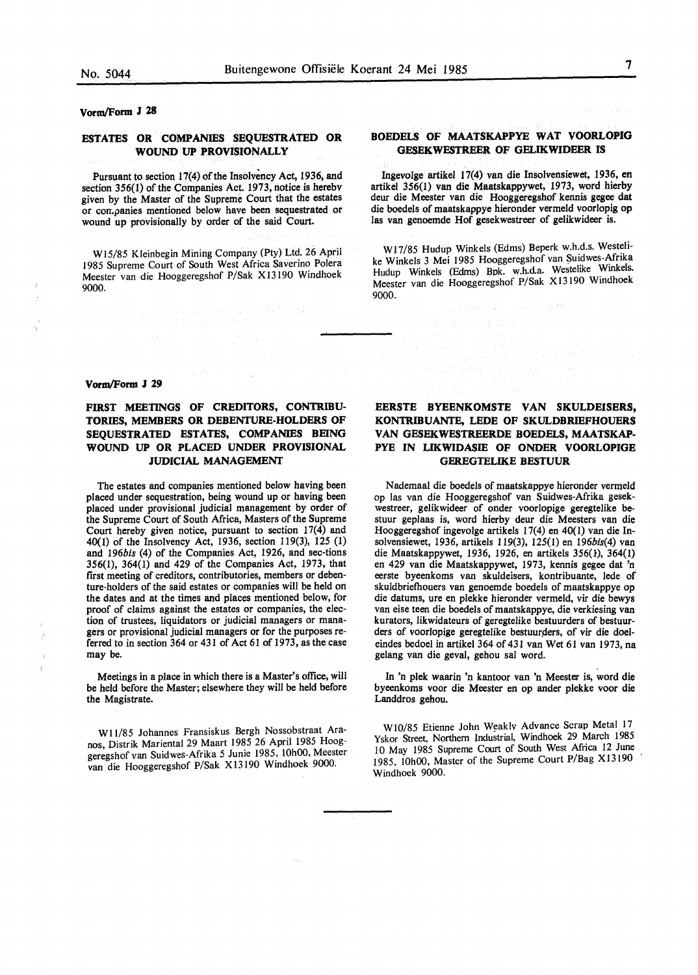## **Vorm/Form J 28**

# **ESTATES OR COMPANIES SEQUESTRATED OR WOUND UP PROVISIONALLY**

Pursuant to section 17(4) of the Insolvency Act, 1936, and section 356(1) of the Companies Act. 1973, notice is herebv given by the Master of the Supreme Court that the estates or con.panies mentioned below have been sequestrated or wound up provisionally by order of the said Court.

W15/85 Kleinbegin Mining Company (Pty) Ltd. 26 April 1985 Supreme Court of South West Africa Saverino Polera Meester van die Hooggeregshof P/Sak X13190 Windhoek 9000.

a solari olarak bir diktar 1976.<br>Tanış yapan Mari

#### **Vorm/Form J 29**

 $\overline{1}$ 

# **FIRST MEETINGS OF CREDITORS, CONTRIBU-TORIES, MEMBERS OR DEBENTURE-HOLDERS OF SEQUESTRATED ESTATES, COMPANIES BEING WOUND UP OR PLACED UNDER PROVISIONAL JUDICIAL MANAGEMENT**

The estates and companies mentioned below having been placed under sequestration, being wound up or having been placed under provisional judicial management by order of the Supreme Court of South Africa, Masters of the Supreme Court hereby given notice, pursuant to section 17(4) and 40(1) of the Insolvency Act, 1936, section 119(3), 125 (1) and 196bis (4) of the Companies Act, 1926, and sec-tions 356(1), 364(1) and 429 of the Companies Act, 1973, that first meeting of creditors, contributories, members or debenture-holders of the said estates or companies will be held on the dates and at the times and places mentioned below, for proof of claims against the estates or companies, the election of trustees, liquidators or judicial managers or managers or provisional judicial managers or for the purposes referred to in section 364 or 431 of Act 61 of 1973, as the case may be.

Meetings in a place in which there is a Master's office, will be held before the Master; elsewhere they will be held before the Magistrate.

WI 1/85 Johannes Fransiskus Bergh Nossobstraat Aranos, Distrik Mariental 29 Maart 1985 26 April 1985 Hooggeregshof van Suidwes-Afrika 5 Junie 1985, 10h00, Meester van die Hooggeregshof P/Sak Xl3190 Windhoek 9000.

## **BOEDELS OF MAATSKAPPYE WAT VOORLOPIG GESEKWESTREER OF GELIKWIDEER IS**

Ingevolge artikel 17(4) van die Insolvensiewet, 1936, en artikel 356(1) van die Maatskappywet, 1973, word hierby deur die Meester van die Hooggeregshof kennis gegee dat die boedels of maatskappye hieronder vermeld voorlopig op las van genoemde Hof gesekwestreer of gelikwideer is.

W17/85 Hudup Winkels (Edms) Beperk w.h.d.s. Westelike Winkels 3 Mei 1985 Hooggeregshof van Suidwes-Afrika Hudup Winkels (Edms) Bpk. w.h.d.a. Westelike Winkels. Meester van die Hooggeregshof P/Sak X13190 Windhoek 9000.

# **EERSTE BYEENKOMSTE VAN SKULDEISERS, KONTRIBUANTE, LEDE OF SKULDBRIEFHOUERS VAN GESEKWESTREERDE BOEDELS, MAATSKAP-**PYE IN LIKWIDASIE OF ONDER VOORLOPIGE **GEREGTELIKE BESTUUR**

Nademaal die boedels of maatskappye hieronder vermeld op las van die Hooggeregshof van Suidwes-Afrika gesekwestreer, gelikwideer of onder voorlopige geregtelike bestuur geplaas is, word hierby deur die Meesters van die Hooggeregshof ingevolge artikels 17(4) en 40(1) van die Insolvensiewet, 1936, artikels 119(3), 125(1) en l96bis(4) van die Maatskappywet, 1936, 1926, en artikels 356(}), 364(1) en 429 van die Maatskappywet, 1973, kennis gegee dat 'n. eerste byeenkoms van skuldeisers, kontribuante, lede of skuldbriefhouers van genoemde boedels of maatskappye op die datums, ure en plekke hieronder vermeld, vir die bewys van eise teen die boedels of maatskappye, die verkiesing van kurators, likwidateurs of geregtelike bestuurders of bestuurders of voorlopige geregtelike bestuurders, of vir die doeleindes bedoel in artikel 364 of 431 van Wet 61 van 1973, na gelang van die geval, gehou sal word.

In 'n plek waarin 'n kantoor van 'n Meester is, word die byeenkoms voor die Meester en op ander plekke voor die Landdros gehou.

W10/85 Etienne John Weakly Advance Scrap Metal 17 Yskor Street, Northern Industrial, Windhoek 29 March 1985 10 May 1985 Supreme Court of South West Africa 12 June 1985, 10h00, Master of the Supreme Court P/Bag Xl3190 Windhoek 9000.